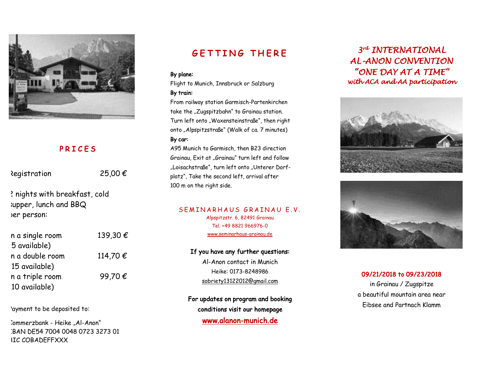

## **PRICES**

Registration 25,00  $\epsilon$ 

2 nights with breakfast, cold supper, lunch and BBQ per person:

| n a single room | 139,30€  |
|-----------------|----------|
| 5 available)    |          |
| n a double room | 114,70 € |
| 15 available)   |          |
| n a triple room | 99,70€   |
| 10 available)   |          |

'ayment to be deposited to:

"commerzbank - Heike "Al-Anon" IBAN DE54 7004 0048 0723 3273 01 **BIC COBADEFFXXX** 

# **GETTING THERE**

#### By plane:

Flight to Munich, Innsbruck or Salzburg By train:

From railway station Garmisch-Partenkirchen take the "Zugspitzbahn" to Grainau station. Turn left onto "Waxensteinstraße", then right onto "Alpspitzstraße" (Walk of ca. 7 minutes) By car:

A95 Munich to Garmisch, then B23 direction Grainau, Exit at "Grainau" turn left and follow "Loisachstraße", turn left onto "Unterer Dorfplatz", Take the second left, arrival after 100 m on the right side.

#### SEMINARHAUS GRAINAU E.V.

Alpspitzstr. 6, 82491 Grainau Tel. +49 8821 966976-0 www.seminarhaus-grainau.de

### If you have any further questions:

Al-Anon contact in Munich Heike: 0173-8248986 sobriety13122012@gmail.com

For updates on program and booking conditions visit our homepage www.alanon-munich.de

## *3 rd INTERNATIONAL AL-ANON CONVENTION "ONE DAY AT A TIME" with ACA and AA participation*





### 09/21/2018 to 09/23/2018

in Grainau / Zugspitze a beautiful mountain area near Eibsee and Partnach Klamm